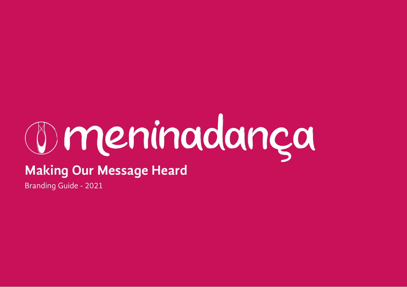# Omeninadança

# **Making Our Message Heard**

Branding Guide - 2021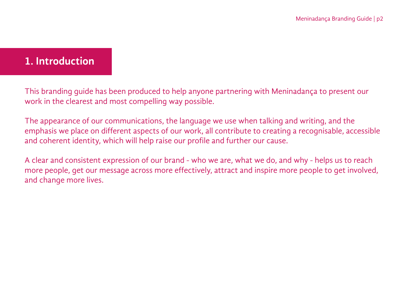# **1. Introduction**

This branding guide has been produced to help anyone partnering with Meninadança to present our work in the clearest and most compelling way possible.

The appearance of our communications, the language we use when talking and writing, and the emphasis we place on different aspects of our work, all contribute to creating a recognisable, accessible and coherent identity, which will help raise our profile and further our cause.

A clear and consistent expression of our brand - who we are, what we do, and why - helps us to reach more people, get our message across more effectively, attract and inspire more people to get involved, and change more lives.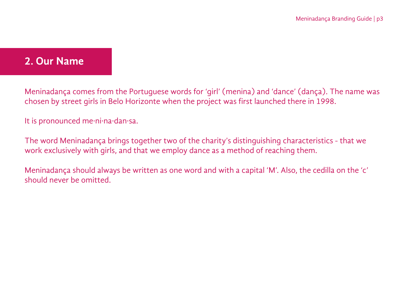# **2. Our Name**

Meninadança comes from the Portuguese words for 'girl' (menina) and 'dance' (dança). The name was chosen by street girls in Belo Horizonte when the project was first launched there in 1998.

It is pronounced me·ni·na·dan·sa.

The word Meninadança brings together two of the charity's distinguishing characteristics - that we work exclusively with girls, and that we employ dance as a method of reaching them.

Meninadança should always be written as one word and with a capital 'M'. Also, the cedilla on the 'c' should never be omitted.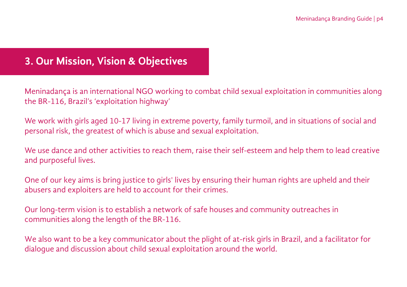# **3. Our Mission, Vision & Objectives**

Meninadança is an international NGO working to combat child sexual exploitation in communities along the BR-116, Brazil's 'exploitation highway'

We work with girls aged 10-17 living in extreme poverty, family turmoil, and in situations of social and personal risk, the greatest of which is abuse and sexual exploitation.

We use dance and other activities to reach them, raise their self-esteem and help them to lead creative and purposeful lives.

One of our key aims is bring justice to girls' lives by ensuring their human rights are upheld and their abusers and exploiters are held to account for their crimes.

Our long-term vision is to establish a network of safe houses and community outreaches in communities along the length of the BR-116.

We also want to be a key communicator about the plight of at-risk girls in Brazil, and a facilitator for dialogue and discussion about child sexual exploitation around the world.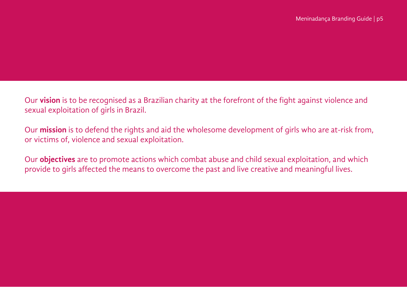Our **vision** is to be recognised as a Brazilian charity at the forefront of the fight against violence and sexual exploitation of girls in Brazil.

Our **mission** is to defend the rights and aid the wholesome development of girls who are at-risk from, or victims of, violence and sexual exploitation.

Our **objectives** are to promote actions which combat abuse and child sexual exploitation, and which provide to girls affected the means to overcome the past and live creative and meaningful lives.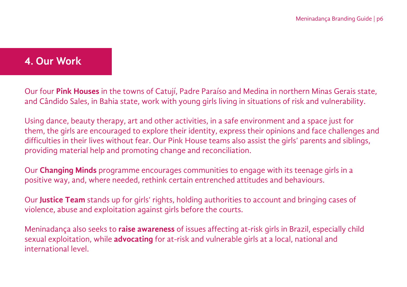# **4. Our Work**

Our four **Pink Houses** in the towns of Catují, Padre Paraíso and Medina in northern Minas Gerais state, and Cândido Sales, in Bahia state, work with young girls living in situations of risk and vulnerability.

Using dance, beauty therapy, art and other activities, in a safe environment and a space just for them, the girls are encouraged to explore their identity, express their opinions and face challenges and difficulties in their lives without fear. Our Pink House teams also assist the girls' parents and siblings, providing material help and promoting change and reconciliation.

Our **Changing Minds** programme encourages communities to engage with its teenage girls in a positive way, and, where needed, rethink certain entrenched attitudes and behaviours.

Our **Justice Team** stands up for girls' rights, holding authorities to account and bringing cases of violence, abuse and exploitation against girls before the courts.

Meninadança also seeks to **raise awareness** of issues affecting at-risk girls in Brazil, especially child sexual exploitation, while **advocating** for at-risk and vulnerable girls at a local, national and international level.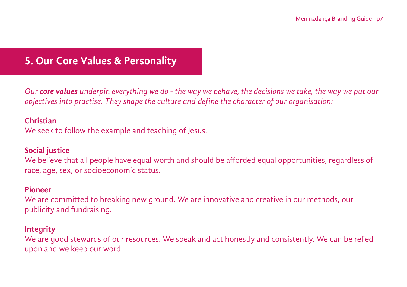# **5. Our Core Values & Personality**

*Our core values underpin everything we do - the way we behave, the decisions we take, the way we put our objectives into practise. They shape the culture and define the character of our organisation:*

### **Christian**

We seek to follow the example and teaching of Jesus.

### **Social justice**

We believe that all people have equal worth and should be afforded equal opportunities, regardless of race, age, sex, or socioeconomic status.

### **Pioneer**

We are committed to breaking new ground. We are innovative and creative in our methods, our publicity and fundraising.

### **Integrity**

We are good stewards of our resources. We speak and act honestly and consistently. We can be relied upon and we keep our word.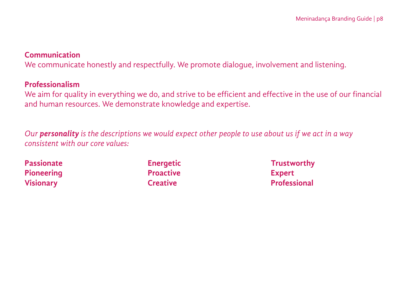### **Communication**

We communicate honestly and respectfully. We promote dialogue, involvement and listening.

### **Professionalism**

We aim for quality in everything we do, and strive to be efficient and effective in the use of our financial and human resources. We demonstrate knowledge and expertise.

*Our personality is the descriptions we would expect other people to use about us if we act in a way consistent with our core values:*

**Pioneering Proactive Proactive Proactive Proactive Proactive Proactive Proactive Proactive Proactive Proactive** 

Passionate **Energetic** Energetic **Trustworthy Visionary Creative Creative Creative Professional**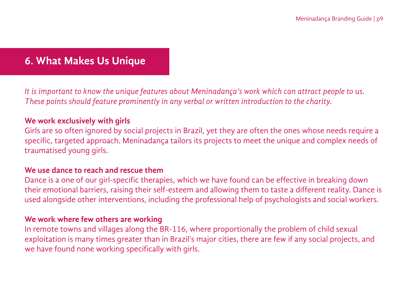# **6. What Makes Us Unique**

*It is important to know the unique features about Meninadança's work which can attract people to us. These points should feature prominently in any verbal or written introduction to the charity.*

### **We work exclusively with girls**

Girls are so often ignored by social projects in Brazil, yet they are often the ones whose needs require a specific, targeted approach. Meninadança tailors its projects to meet the unique and complex needs of traumatised young girls.

### **We use dance to reach and rescue them**

Dance is a one of our girl-specific therapies, which we have found can be effective in breaking down their emotional barriers, raising their self-esteem and allowing them to taste a different reality. Dance is used alongside other interventions, including the professional help of psychologists and social workers.

### **We work where few others are working**

In remote towns and villages along the BR-116, where proportionally the problem of child sexual exploitation is many times greater than in Brazil's major cities, there are few if any social projects, and we have found none working specifically with girls.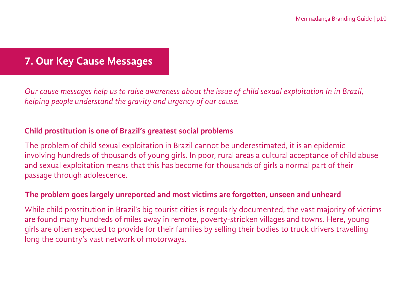# **7. Our Key Cause Messages**

*Our cause messages help us to raise awareness about the issue of child sexual exploitation in in Brazil, helping people understand the gravity and urgency of our cause.*

### **Child prostitution is one of Brazil's greatest social problems**

The problem of child sexual exploitation in Brazil cannot be underestimated, it is an epidemic involving hundreds of thousands of young girls. In poor, rural areas a cultural acceptance of child abuse and sexual exploitation means that this has become for thousands of girls a normal part of their passage through adolescence.

### **The problem goes largely unreported and most victims are forgotten, unseen and unheard**

While child prostitution in Brazil's big tourist cities is regularly documented, the vast majority of victims are found many hundreds of miles away in remote, poverty-stricken villages and towns. Here, young girls are often expected to provide for their families by selling their bodies to truck drivers travelling long the country's vast network of motorways.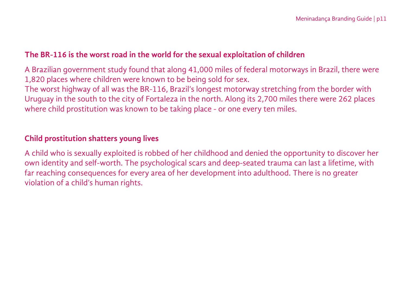### **The BR-116 is the worst road in the world for the sexual exploitation of children**

A Brazilian government study found that along 41,000 miles of federal motorways in Brazil, there were 1,820 places where children were known to be being sold for sex. The worst highway of all was the BR-116, Brazil's longest motorway stretching from the border with Uruguay in the south to the city of Fortaleza in the north. Along its 2,700 miles there were 262 places where child prostitution was known to be taking place - or one every ten miles.

### **Child prostitution shatters young lives**

A child who is sexually exploited is robbed of her childhood and denied the opportunity to discover her own identity and self-worth. The psychological scars and deep-seated trauma can last a lifetime, with far reaching consequences for every area of her development into adulthood. There is no greater violation of a child's human rights.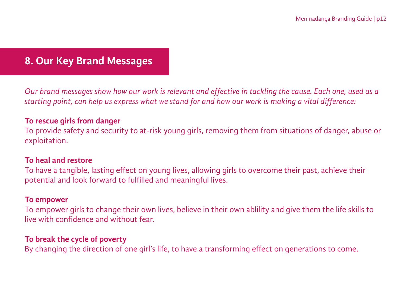# **8. Our Key Brand Messages**

*Our brand messages show how our work is relevant and effective in tackling the cause. Each one, used as a starting point, can help us express what we stand for and how our work is making a vital difference:*

### **To rescue girls from danger**

To provide safety and security to at-risk young girls, removing them from situations of danger, abuse or exploitation.

### **To heal and restore**

To have a tangible, lasting effect on young lives, allowing girls to overcome their past, achieve their potential and look forward to fulfilled and meaningful lives.

### **To empower**

To empower girls to change their own lives, believe in their own ablility and give them the life skills to live with confidence and without fear.

### **To break the cycle of poverty**

By changing the direction of one girl's life, to have a transforming effect on generations to come.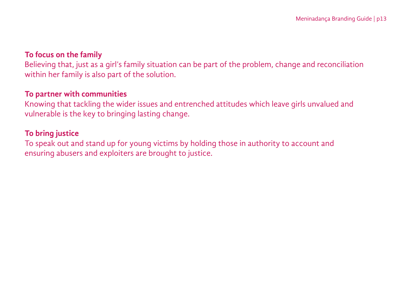### **To focus on the family**

Believing that, just as a girl's family situation can be part of the problem, change and reconciliation within her family is also part of the solution.

### **To partner with communities**

Knowing that tackling the wider issues and entrenched attitudes which leave girls unvalued and vulnerable is the key to bringing lasting change.

### **To bring justice**

To speak out and stand up for young victims by holding those in authority to account and ensuring abusers and exploiters are brought to justice.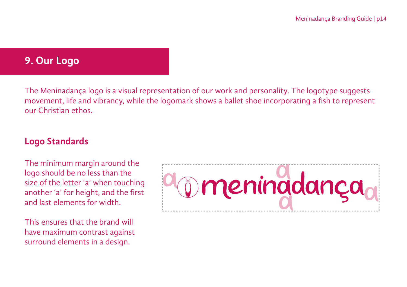# **9. Our Logo**

The Meninadança logo is a visual representation of our work and personality. The logotype suggests movement, life and vibrancy, while the logomark shows a ballet shoe incorporating a fish to represent our Christian ethos.

# **Logo Standards**

The minimum margin around the logo should be no less than the size of the letter 'a' when touching another 'a' for height, and the first and last elements for width.

This ensures that the brand will have maximum contrast against surround elements in a design.

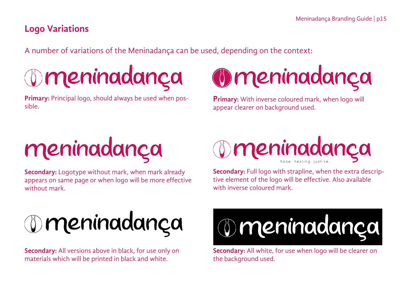# **Logo Variations**

A number of variations of the Meninadança can be used, depending on the context:



**Primary:** Principal logo, should always be used when possible.



**Primary:** With inverse coloured mark, when logo will appear clearer on background used.



**Secondary:** Logotype without mark, when mark already appears on same page or when logo will be more effective without mark.



**Secondary:** Full logo with strapline, when the extra descriptive element of the logo will be effective. Also available with inverse coloured mark.



**Secondary:** All versions above in black, for use only on materials which will be printed in black and white.



**Secondary:** All white, for use when logo will be clearer on the background used.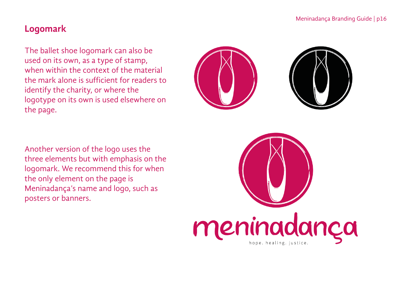# **Logomark**

The ballet shoe logomark can also be used on its own, as a type of stamp, when within the context of the material the mark alone is sufficient for readers to identify the charity, or where the logotype on its own is used elsewhere on the page.



Another version of the logo uses the three elements but with emphasis on the logomark. We recommend this for when the only element on the page is Meninadança's name and logo, such as posters or banners.

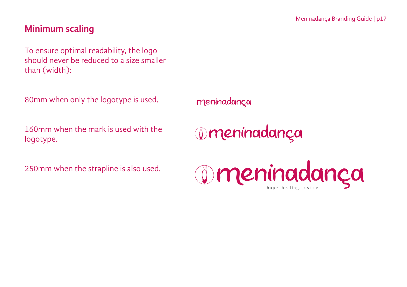# **Minimum scaling**

To ensure optimal readability, the logo should never be reduced to a size smaller than (width):

80mm when only the logotype is used.

meninadanca

Omeninadanca

160mm when the mark is used with the logotype.

250mm when the strapline is also used.

Omeninadança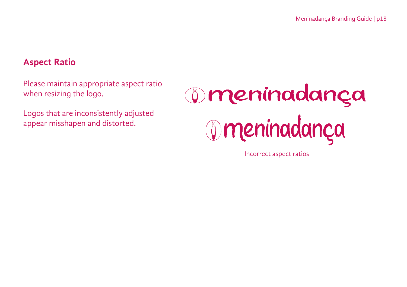### **Aspect Ratio**

Please maintain appropriate aspect ratio when resizing the logo.

Logos that are inconsistently adjusted appear misshapen and distorted.

Omeninadança Omeninadança

Incorrect aspect ratios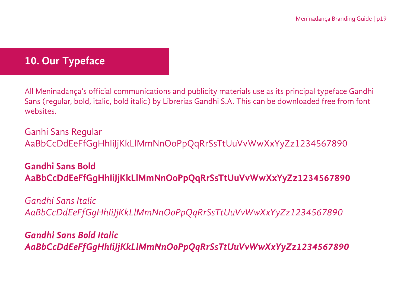# **10. Our Typeface**

All Meninadança's official communications and publicity materials use as its principal typeface Gandhi Sans (regular, bold, italic, bold italic) by Librerias Gandhi S.A. This can be downloaded free from font websites.

Ganhi Sans Regular AaBbCcDdEeFfGgHhIiJjKkLlMmNnOoPpQqRrSsTtUuVvWwXxYyZz1234567890

**Gandhi Sans Bold AaBbCcDdEeFfGgHhIiJjKkLlMmNnOoPpQqRrSsTtUuVvWwXxYyZz1234567890**

*Gandhi Sans Italic AaBbCcDdEeFfGgHhIiJjKkLlMmNnOoPpQqRrSsTtUuVvWwXxYyZz1234567890*

*Gandhi Sans Bold Italic AaBbCcDdEeFfGgHhIiJjKkLlMmNnOoPpQqRrSsTtUuVvWwXxYyZz1234567890*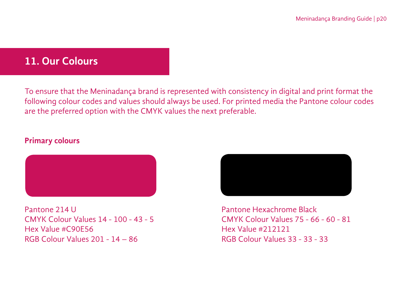# **11. Our Colours**

To ensure that the Meninadança brand is represented with consistency in digital and print format the following colour codes and values should always be used. For printed media the Pantone colour codes are the preferred option with the CMYK values the next preferable.

### **Primary colours**



Pantone 214 U Pantone Hexachrome Black CMYK Colour Values 14 - 100 - 43 - 5 CMYK Colour Values 75 - 66 - 60 - 81 Hex Value #C90E56 Hex Value #212121 RGB Colour Values  $201 - 14 - 86$  RGB Colour Values  $33 - 33 - 33$ 

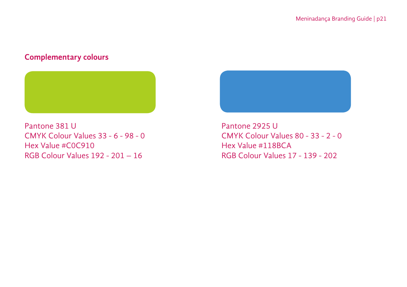### **Complementary colours**



Pantone 381 U Pantone 2925 U Hex Value #C0C910 Hex Value #118BCA RGB Colour Values 192 - 201 – 16 RGB Colour Values 17 - 139 - 202



CMYK Colour Values 33 - 6 - 98 - 0 CMYK Colour Values 80 - 33 - 2 - 0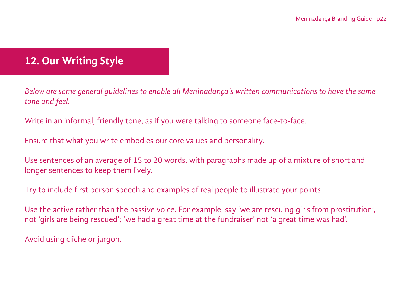# **12. Our Writing Style**

*Below are some general guidelines to enable all Meninadança's written communications to have the same tone and feel.*

Write in an informal, friendly tone, as if you were talking to someone face-to-face.

Ensure that what you write embodies our core values and personality.

Use sentences of an average of 15 to 20 words, with paragraphs made up of a mixture of short and longer sentences to keep them lively.

Try to include first person speech and examples of real people to illustrate your points.

Use the active rather than the passive voice. For example, say 'we are rescuing girls from prostitution', not 'girls are being rescued'; 'we had a great time at the fundraiser' not 'a great time was had'.

Avoid using cliche or jargon.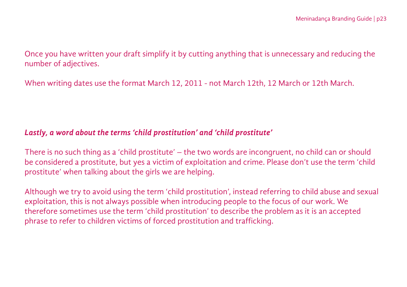Once you have written your draft simplify it by cutting anything that is unnecessary and reducing the number of adjectives.

When writing dates use the format March 12, 2011 - not March 12th, 12 March or 12th March.

### *Lastly, a word about the terms 'child prostitution' and 'child prostitute'*

There is no such thing as a 'child prostitute' – the two words are incongruent, no child can or should be considered a prostitute, but yes a victim of exploitation and crime. Please don't use the term 'child prostitute' when talking about the girls we are helping.

Although we try to avoid using the term 'child prostitution', instead referring to child abuse and sexual exploitation, this is not always possible when introducing people to the focus of our work. We therefore sometimes use the term 'child prostitution' to describe the problem as it is an accepted phrase to refer to children victims of forced prostitution and trafficking.